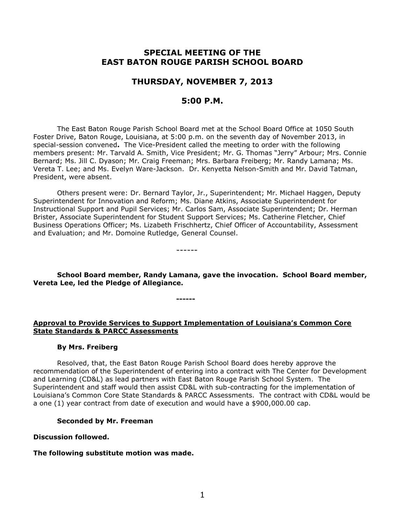# **SPECIAL MEETING OF THE EAST BATON ROUGE PARISH SCHOOL BOARD**

# **THURSDAY, NOVEMBER 7, 2013**

## **5:00 P.M.**

The East Baton Rouge Parish School Board met at the School Board Office at 1050 South Foster Drive, Baton Rouge, Louisiana, at 5:00 p.m. on the seventh day of November 2013, in special-session convened**.** The Vice-President called the meeting to order with the following members present: Mr. Tarvald A. Smith, Vice President; Mr. G. Thomas "Jerry" Arbour; Mrs. Connie Bernard; Ms. Jill C. Dyason; Mr. Craig Freeman; Mrs. Barbara Freiberg; Mr. Randy Lamana; Ms. Vereta T. Lee; and Ms. Evelyn Ware-Jackson. Dr. Kenyetta Nelson-Smith and Mr. David Tatman, President, were absent.

Others present were: Dr. Bernard Taylor, Jr., Superintendent; Mr. Michael Haggen, Deputy Superintendent for Innovation and Reform; Ms. Diane Atkins, Associate Superintendent for Instructional Support and Pupil Services; Mr. Carlos Sam, Associate Superintendent; Dr. Herman Brister, Associate Superintendent for Student Support Services; Ms. Catherine Fletcher, Chief Business Operations Officer; Ms. Lizabeth Frischhertz, Chief Officer of Accountability, Assessment and Evaluation; and Mr. Domoine Rutledge, General Counsel.

------

**School Board member, Randy Lamana, gave the invocation. School Board member, Vereta Lee, led the Pledge of Allegiance.** 

**------**

## **Approval to Provide Services to Support Implementation of Louisiana's Common Core State Standards & PARCC Assessments**

#### **By Mrs. Freiberg**

Resolved, that, the East Baton Rouge Parish School Board does hereby approve the recommendation of the Superintendent of entering into a contract with The Center for Development and Learning (CD&L) as lead partners with East Baton Rouge Parish School System. The Superintendent and staff would then assist CD&L with sub-contracting for the implementation of Louisiana's Common Core State Standards & PARCC Assessments. The contract with CD&L would be a one (1) year contract from date of execution and would have a \$900,000.00 cap.

#### **Seconded by Mr. Freeman**

#### **Discussion followed.**

### **The following substitute motion was made.**